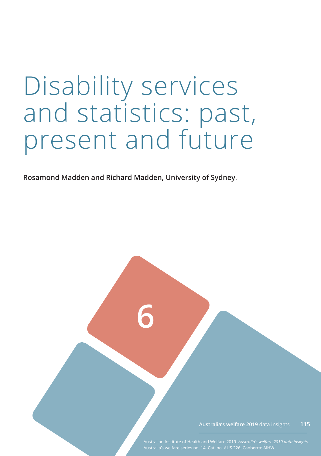# Disability services and statistics: past, present and future

**Rosamond Madden and Richard Madden, University of Sydney**.

**6**

**Australia's welfare 2019** data insights **115**

Australian Institute of Health and Welfare 2019. *Australia's welfare 2019 data insights*.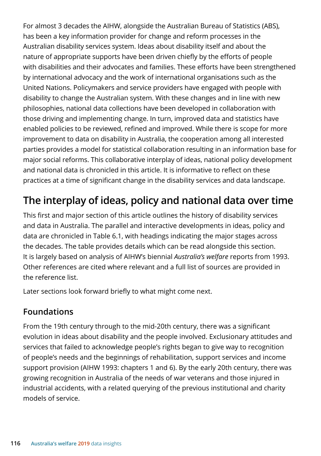For almost 3 decades the AIHW, alongside the Australian Bureau of Statistics (ABS), has been a key information provider for change and reform processes in the Australian disability services system. Ideas about disability itself and about the nature of appropriate supports have been driven chiefly by the efforts of people with disabilities and their advocates and families. These efforts have been strengthened by international advocacy and the work of international organisations such as the United Nations. Policymakers and service providers have engaged with people with disability to change the Australian system. With these changes and in line with new philosophies, national data collections have been developed in collaboration with those driving and implementing change. In turn, improved data and statistics have enabled policies to be reviewed, refined and improved. While there is scope for more improvement to data on disability in Australia, the cooperation among all interested parties provides a model for statistical collaboration resulting in an information base for major social reforms. This collaborative interplay of ideas, national policy development and national data is chronicled in this article. It is informative to reflect on these practices at a time of significant change in the disability services and data landscape.

# **The interplay of ideas, policy and national data over time**

This first and major section of this article outlines the history of disability services and data in Australia. The parallel and interactive developments in ideas, policy and data are chronicled in Table 6.1, with headings indicating the major stages across the decades. The table provides details which can be read alongside this section. It is largely based on analysis of AIHW's biennial *Australia's welfare* reports from 1993. Other references are cited where relevant and a full list of sources are provided in the reference list.

Later sections look forward briefly to what might come next.

## **Foundations**

From the 19th century through to the mid-20th century, there was a significant evolution in ideas about disability and the people involved. Exclusionary attitudes and services that failed to acknowledge people's rights began to give way to recognition of people's needs and the beginnings of rehabilitation, support services and income support provision (AIHW 1993: chapters 1 and 6). By the early 20th century, there was growing recognition in Australia of the needs of war veterans and those injured in industrial accidents, with a related querying of the previous institutional and charity models of service.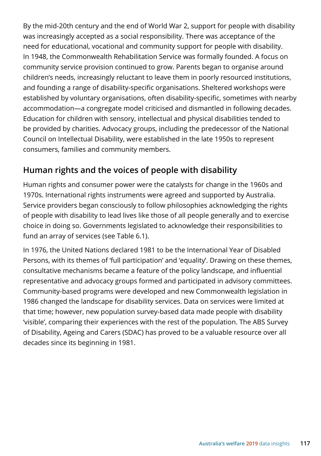By the mid-20th century and the end of World War 2, support for people with disability was increasingly accepted as a social responsibility. There was acceptance of the need for educational, vocational and community support for people with disability. In 1948, the Commonwealth Rehabilitation Service was formally founded. A focus on community service provision continued to grow. Parents began to organise around children's needs, increasingly reluctant to leave them in poorly resourced institutions, and founding a range of disability-specific organisations. Sheltered workshops were established by voluntary organisations, often disability-specific, sometimes with nearby accommodation—a congregate model criticised and dismantled in following decades. Education for children with sensory, intellectual and physical disabilities tended to be provided by charities. Advocacy groups, including the predecessor of the National Council on Intellectual Disability, were established in the late 1950s to represent consumers, families and community members.

## **Human rights and the voices of people with disability**

Human rights and consumer power were the catalysts for change in the 1960s and 1970s. International rights instruments were agreed and supported by Australia. Service providers began consciously to follow philosophies acknowledging the rights of people with disability to lead lives like those of all people generally and to exercise choice in doing so. Governments legislated to acknowledge their responsibilities to fund an array of services (see Table 6.1).

In 1976, the United Nations declared 1981 to be the International Year of Disabled Persons, with its themes of 'full participation' and 'equality'. Drawing on these themes, consultative mechanisms became a feature of the policy landscape, and influential representative and advocacy groups formed and participated in advisory committees. Community-based programs were developed and new Commonwealth legislation in 1986 changed the landscape for disability services. Data on services were limited at that time; however, new population survey-based data made people with disability 'visible', comparing their experiences with the rest of the population. The ABS Survey of Disability, Ageing and Carers (SDAC) has proved to be a valuable resource over all decades since its beginning in 1981.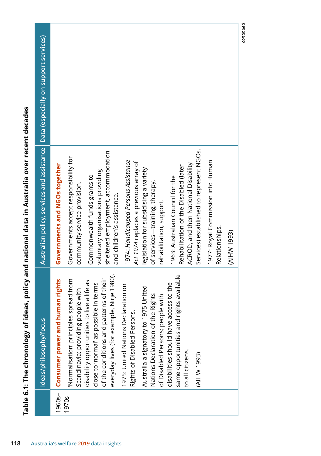| Data (especially on support services)<br>Australian policy, services and assistance<br>Ideas/philosophy/focus | Services) established to represent NGOs.<br>sheltered employment, accommodation<br>Governments accept responsibility for<br>1974: Handicapped Persons Assistance<br>1977: Royal Commission into Human<br>Act 1974 replaces a previous array of<br>ACROD, and then National Disability<br>Governments and NGOs together<br>Rehabilitation of the Disabled (later<br>legislation for subsidising a variety<br>voluntary organisations providing<br>Commonwealth funds grants to<br>1963: Australian Council for the<br>of services-training, therapy,<br>community service provision.<br>and children's assistance.<br>rehabilitation, support.<br>Relationships.<br>everyday lives (for example, Nirje 1980).<br>same opportunities and rights available<br>Normalisation' principles spread from<br>of the conditions and patterns of their<br>Consumer power and human rights<br>ive a life as<br>e in terms<br>cess to the<br>1975: United Nations Declaration on<br>5 United<br>Scandinavia: providing people with<br>Nations Declaration of the Rights<br>of Disabled Persons; people with<br>Rights of Disabled Persons.<br>Australia a signatory to 197<br>disabilities should have acc<br>close to 'normal' as possibl<br>disability opportunities to |
|---------------------------------------------------------------------------------------------------------------|--------------------------------------------------------------------------------------------------------------------------------------------------------------------------------------------------------------------------------------------------------------------------------------------------------------------------------------------------------------------------------------------------------------------------------------------------------------------------------------------------------------------------------------------------------------------------------------------------------------------------------------------------------------------------------------------------------------------------------------------------------------------------------------------------------------------------------------------------------------------------------------------------------------------------------------------------------------------------------------------------------------------------------------------------------------------------------------------------------------------------------------------------------------------------------------------------------------------------------------------------------------|
|                                                                                                               | to all citizens.<br>(AIHW 1993)<br>1960s-<br>1970s                                                                                                                                                                                                                                                                                                                                                                                                                                                                                                                                                                                                                                                                                                                                                                                                                                                                                                                                                                                                                                                                                                                                                                                                           |

continued *continued*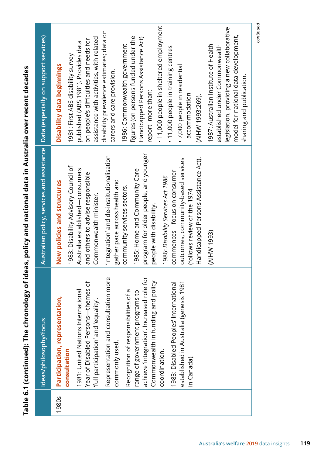|                        | Australian policy, services and assistance   Data (especially on support services)                                                                                                                                                                                                                                                                                                                                                                                                                                                                                                     |                                                                                                                                                                                                                                                                                                                                                                                                                                                                                                                                                                                                                                                                                                                                                                 |
|------------------------|----------------------------------------------------------------------------------------------------------------------------------------------------------------------------------------------------------------------------------------------------------------------------------------------------------------------------------------------------------------------------------------------------------------------------------------------------------------------------------------------------------------------------------------------------------------------------------------|-----------------------------------------------------------------------------------------------------------------------------------------------------------------------------------------------------------------------------------------------------------------------------------------------------------------------------------------------------------------------------------------------------------------------------------------------------------------------------------------------------------------------------------------------------------------------------------------------------------------------------------------------------------------------------------------------------------------------------------------------------------------|
| resis 1981             | program for older people, and younger<br>Integration' and de-institutionalisation<br>Handicapped Persons Assistance Act).<br>outcomes, community-based services<br>1983: Disability Advisory Council of<br>Australia established-consumers<br>1985: Home and Community Care<br>commences-focus on consumer<br>and others to advise responsible<br>1986: Disability Services Act 1986<br>gather pace across health and<br>New policies and structures<br>community services sectors.<br>(follows review of the 1974<br>Commonwealth minister.<br>people with disability.<br>(AIHW 1993) | • 11,000 people in sheltered employment<br>legislation, providing a new collaborative<br>disability prevalence estimates; data on<br>model for national data development,<br>figures (on persons funded under the<br>Handicapped Persons Assistance Act)<br>assistance with activities, with related<br>on people's difficulties and needs for<br>published (ABS 1981). Provides data<br>1986: Commonwealth government<br>1987: Australian Institute of Health<br>established under Commonwealth<br>. 11,000 people in training centres<br>1981: First ABS disability survey<br>Disability data beginnings<br>· 7,000 people in residential<br>carers and care provision.<br>sharing and publication.<br>report more than:<br>accommodation<br>(AIHW 1993:269). |
|                        |                                                                                                                                                                                                                                                                                                                                                                                                                                                                                                                                                                                        | continued                                                                                                                                                                                                                                                                                                                                                                                                                                                                                                                                                                                                                                                                                                                                                       |
| Ideas/philosophy/focus | Representation and consultation more<br>achieve 'integration'. Increased role for<br>Year of Disabled Persons-themes of<br>Commonwealth in funding and policy<br>1983: Disabled Peoples' International<br>1981: United Nations International<br>Recognition of responsibilities of a<br>range of government programs to<br>Participation, representation,<br>'full participation' and 'equality'.<br>established in Australia (ger                                                                                                                                                     |                                                                                                                                                                                                                                                                                                                                                                                                                                                                                                                                                                                                                                                                                                                                                                 |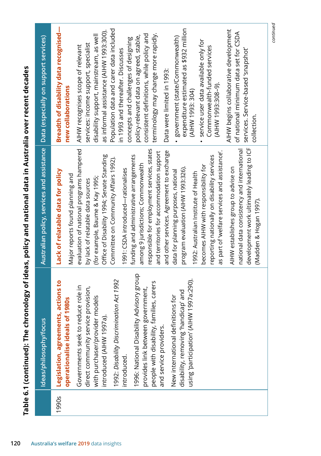|       | Ideas/philosophy/focus                                                                                                                                                                                                                                                                                                                                                                                                                                                                                                                                                    | Australian policy, services and assistance                                                                                                                                                                                                                                                                                                                                                                                                                                                                                                                                                                                                                                                                                                                                                                                                                                                                                                                                     | Data (especially on support services)                                                                                                                                                                                                                                                                                                                                                                                                                                                                                                                                                                                                                                                                                                                                                                                                                      |
|-------|---------------------------------------------------------------------------------------------------------------------------------------------------------------------------------------------------------------------------------------------------------------------------------------------------------------------------------------------------------------------------------------------------------------------------------------------------------------------------------------------------------------------------------------------------------------------------|--------------------------------------------------------------------------------------------------------------------------------------------------------------------------------------------------------------------------------------------------------------------------------------------------------------------------------------------------------------------------------------------------------------------------------------------------------------------------------------------------------------------------------------------------------------------------------------------------------------------------------------------------------------------------------------------------------------------------------------------------------------------------------------------------------------------------------------------------------------------------------------------------------------------------------------------------------------------------------|------------------------------------------------------------------------------------------------------------------------------------------------------------------------------------------------------------------------------------------------------------------------------------------------------------------------------------------------------------------------------------------------------------------------------------------------------------------------------------------------------------------------------------------------------------------------------------------------------------------------------------------------------------------------------------------------------------------------------------------------------------------------------------------------------------------------------------------------------------|
| 1990s | 1996: National Disability Advisory group<br>1997a:290).<br>1992: Disability Discrimination Act 1992<br>actions to<br>people with disability, families, carers<br>Governments seek to reduce role in<br>direct community service provision,<br>provides link between government,<br>disability, removing 'handicap' and<br>New international definitions for<br>with purchaser/provider models<br><b>2086</b><br>operationalise ideals of 1<br>using 'participation' (AIHW<br>Legislation, agreements,<br>ntroduced (AIHW 1997a).<br>and service providers.<br>introduced. | development work ultimately leading to ICF<br>evaluation of national programs hampered<br>responsible for employment services, states<br>national data consistency and international<br>and other services. Agreement to exchange<br>as part of 'welfare services and assistance'.<br>and territories for accommodation support<br>Office of Disability 1994; Senate Standing<br>funding and administrative arrangements<br>reporting nationally on disability services<br>Committee on Community Affairs 1992).<br>among 9 jurisdictions; Commonwealth<br>becomes AIHW with responsibility for<br>AIHW establishes group to advise on<br>program evaluation (AIHW 1993:326).<br>1991: CSDA introduced-rationalises<br>Lack of relatable data for policy<br>data for planning purposes, national<br>1992: Australian Institute of Health<br>Major reports found planning and<br>(for example, Baume & Kay 1995;<br>by lack of relatable data sources<br>(Madden & Hogan 1997). | Breadth of disability data recognised-<br>expenditure estimated as \$932 million<br>Population data and carer data included<br>AIHW begins collaborative development<br>as informal assistance (AIHW 1993:300).<br>of national minimum data set for CSDA<br>terminology may change more rapidly.<br>consistent definitions, while policy and<br>disability support, mainstream, as well<br>policy-relevant data on agreed, stable,<br>government (state/Commonwealth)<br>concepts and challenges of designing<br>service user data available only for<br>services: income support, specialist<br>AIHW recognises scope of relevant<br>Commonwealth-funded services<br>in 1993 and thereafter. Discusses<br>services. Service-based 'snapshot'<br>Data were limited in 1993:<br>(AIHW 1993:308-9).<br>new collaborations<br>(AIHW 1993: 304)<br>collection. |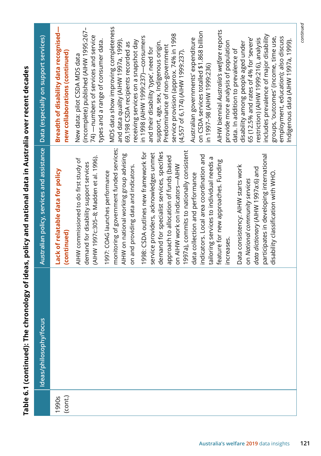| Data (especially on support services)      | Breadth of disability data recognised-<br>new collaborations (continued) | (incomplete) published (AIHW 1995:267-<br>74) — numbers of services and service<br>types and a range of consumer data.<br>New data: pilot CSDA MDS data | MDS data show improving completeness<br>and data quality (AIHW 1997a, 1999).<br>receiving services on a snapshot day<br>69,198 CSDA recipients recorded as       | in 1998 (AIHW 1999:237)—consumers<br>and their disability 'type', need for     | service provision (approx. 74% in 1998<br>support, age, sex, Indigenous origin.<br>Predominance of non-government<br>(4,557 of 6,174) (AIHW 1999:237).             | on CSDA services totalled \$1.868 billion<br>Australian governments' expenditure<br>in 1997-98 (AIHW 1999:236)         | AIHW biennial Australia's welfare reports<br>provide more analysis of population | 65 (12.5% and rates of 4% for 'severe'<br>restriction) (AIHW 1999:216), analysis<br>disability among people aged under<br>data. In addition to prevalence of | includes prevalence of major disability<br>groups, 'outcomes' (income, time use,<br>employment, education); also discuss |  |
|--------------------------------------------|--------------------------------------------------------------------------|---------------------------------------------------------------------------------------------------------------------------------------------------------|------------------------------------------------------------------------------------------------------------------------------------------------------------------|--------------------------------------------------------------------------------|--------------------------------------------------------------------------------------------------------------------------------------------------------------------|------------------------------------------------------------------------------------------------------------------------|----------------------------------------------------------------------------------|--------------------------------------------------------------------------------------------------------------------------------------------------------------|--------------------------------------------------------------------------------------------------------------------------|--|
| Australian policy, services and assistance | Lack of relatable data for policy<br>(continued)                         | (AIHW 1997c:305-8; Madden et al. 1996).<br>AIHW commissioned to do first study of<br>demand for disability support services                             | monitoring of government funded services;<br>AIHW on national working group advising<br>on and providing data and indicators.<br>1997: COAG launches performance | 1998: CSDA outlines new framework for<br>service providers, acknowledges unmet | 1997a), commits to nationally consistent<br>demand for specialist services, specifies<br>approach to allocation of funds (based<br>on AIHW work on indicators-AIHW | indicators. Local area coordination and<br>tailoring services to individual needs a<br>data collection and performance | feature for new approaches. Funding<br>increases.                                | Data consistency: AIHW starts work<br>data dictionary (AIHW 1997a:6) and<br>on National community services                                                   | participates in developing international<br>disability classification with WHO.                                          |  |
| Ideas/philosophy/focus                     |                                                                          |                                                                                                                                                         |                                                                                                                                                                  |                                                                                |                                                                                                                                                                    |                                                                                                                        |                                                                                  |                                                                                                                                                              |                                                                                                                          |  |
|                                            | (cont.)<br>1990s                                                         |                                                                                                                                                         |                                                                                                                                                                  |                                                                                |                                                                                                                                                                    |                                                                                                                        |                                                                                  |                                                                                                                                                              |                                                                                                                          |  |

Table 6.1 (continued): The chronology of ideas, policy and national data in Australia over recent decades **Table 6.1 (continued): The chronology of ideas, policy and national data in Australia over recent decades** continued *continued*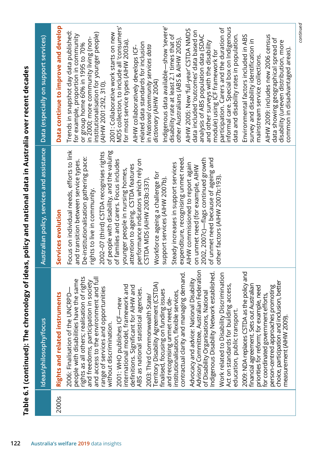| 2000s | Rights and related instruments                                                                                                                                                                                                                                                                                                                                                                                                                                                                                                                                                                                                                                                                                                                                                                                                                                                                                                                                                                                                                                                                                                                                                                                                                                                                                              | Australian policy, services and assistance                                                                                                                                                                                                                                                                                                                                                                                                                                                                                                                                                                                                                                                                                                                                                         | Data continue to improve and develop                                                                                                                                                                                                                                                                                                                                                                                                                                                                                                                                                                                                                                                                                                                                                                                                                                                                                                                                                                                                                                                                                                                                                                                                                                          |
|-------|-----------------------------------------------------------------------------------------------------------------------------------------------------------------------------------------------------------------------------------------------------------------------------------------------------------------------------------------------------------------------------------------------------------------------------------------------------------------------------------------------------------------------------------------------------------------------------------------------------------------------------------------------------------------------------------------------------------------------------------------------------------------------------------------------------------------------------------------------------------------------------------------------------------------------------------------------------------------------------------------------------------------------------------------------------------------------------------------------------------------------------------------------------------------------------------------------------------------------------------------------------------------------------------------------------------------------------|----------------------------------------------------------------------------------------------------------------------------------------------------------------------------------------------------------------------------------------------------------------------------------------------------------------------------------------------------------------------------------------------------------------------------------------------------------------------------------------------------------------------------------------------------------------------------------------------------------------------------------------------------------------------------------------------------------------------------------------------------------------------------------------------------|-------------------------------------------------------------------------------------------------------------------------------------------------------------------------------------------------------------------------------------------------------------------------------------------------------------------------------------------------------------------------------------------------------------------------------------------------------------------------------------------------------------------------------------------------------------------------------------------------------------------------------------------------------------------------------------------------------------------------------------------------------------------------------------------------------------------------------------------------------------------------------------------------------------------------------------------------------------------------------------------------------------------------------------------------------------------------------------------------------------------------------------------------------------------------------------------------------------------------------------------------------------------------------|
|       | Ideas/philosophy/focus                                                                                                                                                                                                                                                                                                                                                                                                                                                                                                                                                                                                                                                                                                                                                                                                                                                                                                                                                                                                                                                                                                                                                                                                                                                                                                      | Services evolution                                                                                                                                                                                                                                                                                                                                                                                                                                                                                                                                                                                                                                                                                                                                                                                 | Data (especially on support services)                                                                                                                                                                                                                                                                                                                                                                                                                                                                                                                                                                                                                                                                                                                                                                                                                                                                                                                                                                                                                                                                                                                                                                                                                                         |
|       | Advisory Committee, Australian Federation<br>Indigenous Disability Network established.<br>contractual clarity and managing demand.<br>2009: NDA replaces CSTDA as the policy and<br>Discrimination<br>rights as all others; realisation of rights<br>and access to the environment and full<br>range of services and opportunities<br>people with disabilities have the same<br>Advocacy and advice: National Disability<br>and freedoms, participation in society<br>usion, better<br>Territory Disability Agreement (CSTDA)<br>ing access,<br>financial agreement. Sets out Australian<br>international model, framework and<br>promoting<br>priorities for reform; for example, need<br>AIHW and<br>agencies.<br>finalised, focusing on funding issues<br>services,<br>National<br>NCRPD-<br>for coordinated government efforts,<br>2003: Third Commonwealth State/<br>and recognising unmet need, de-<br>2001: WHO publishes ICF-new<br>education, public transport.<br>Act on standards for build<br>choice, participation and incl<br>institutionalisation, flexible<br>person-centred approaches<br>2006: Finalisation of the U<br>of Disability Organisations,<br>definitions. Significant for<br>Work related to Disability<br>measurement (AIHW 2009).<br>ABS as national statistical<br>without discrimination. | Focus on individual needs, efforts to link<br>of people with disability, and the valuing<br>2002-07 (third) CSTDA recognises rights<br>expenditure, recognising unmet need.<br>De-institutionalisation gathering pace:<br>2002, 2007c)—flags continued growth<br>of unmet need because of ageing and<br>performance indicators which rely on<br>of families and carers. Focus includes<br>and transition between service types.<br>Steady increases in support services<br>AIHW commissioned to report again<br>attention to ageing. CSTDA features<br>on unmet need (for example, AIHW<br>younger people in nursing homes,<br>Workforce ageing a challenge for<br>other factors (AIHW 2007b:193).<br>support services (AIHW 2007b).<br>CSTDA MDS (AIHW 2003b:337)<br>rights to live in community. | MDS collection, to include all 'consumers'<br>Indigenous data available—show 'severe'<br>informal care. Special box on Indigenous<br>participation. Carers and the duration of<br>AIHW 2005: New 'full-year' CSTDA NMDS<br>data included 'outcomes' data based on<br>Trends in snapshot day data published:<br>institutionalisation for younger people)<br>2001: Collaborative work starts on new<br>for example, proportion in community<br>data and disability rates in population.<br>disability rate at least 2.1 times that of<br>analysis of ABS population data (SDAC<br>AIHW 2009: includes new 2006 census<br>Environmental factors included in ABS<br>or group home 60% in 1995 to 70%<br>in 2000; more community living (non-<br>data showing geographical spread of<br>other Australians (ABS & AIHW 2005).<br>survey and disability identification in<br>for most service types (AIHW 2003a).<br>and other surveys with the disability<br>disability (uneven distribution, more<br>related data standards for inclusion<br>in National community services data<br>AIHW collaboratively develops ICF-<br>common in disadvantaged areas).<br>module) using ICF framework for<br>mainstream service collections.<br>dictionary (AIHW 2004)<br>(AIHW 2001:292, 310). |

*continued*

continued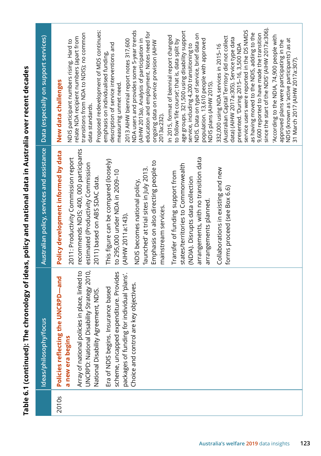Table 6.1 (continued): The chronology of ideas, policy and national data in Australia over recent decades **Table 6.1 (continued): The chronology of ideas, policy and national data in Australia over recent decades**

| Data (especially on support services)      | since the start of the NDIS' (AIHW 2017a:306).<br>service users were reported in the DS NMDS<br>Proposed redevelopment of MDS continues:<br>NDA users and provides some 5-year trends<br>age groups. 321,500 using disability support<br>education and employment. Notes need for<br>transitions from NDA to NDIS); no common<br>as having moved to the NDIS, adding to the<br>NDIS. Data on type of service, brief data on<br>9,600 reported to have made the transition<br>'According to the NDIA, 74,900 people with<br>In 2015, format of biennial report changed<br>(Australian Capital Territory did not collect<br>relate NDA recipient numbers (apart from<br>data) (AIHW 2017a:305). Service type data<br>(AIHW 2013a). Analysis of participation in<br>population. 13,610 people with approved<br>2013 AIHW biennial report notes 317,600<br>NDIS (known as 'active participants') as at<br>NDIS participant numbers rising. Hard to<br>to follow 'life course'; that is, data split by<br>approved plans were participating in the<br>ongoing data on service provision (AIHW<br>description of service interventions and<br>presented. 'During 2015-16, 3,500 NDA<br>332,000 using NDA services in 2015-16<br>service, including 4,200 transitioning to<br>emphasis on individualised funding,<br>31 March 2017 (AIHW 2017a:307).<br>New data challenges<br>NDIS plans (AIHW 2015).<br>measuring unmet need.<br>data standards.<br>2013a:232). |
|--------------------------------------------|------------------------------------------------------------------------------------------------------------------------------------------------------------------------------------------------------------------------------------------------------------------------------------------------------------------------------------------------------------------------------------------------------------------------------------------------------------------------------------------------------------------------------------------------------------------------------------------------------------------------------------------------------------------------------------------------------------------------------------------------------------------------------------------------------------------------------------------------------------------------------------------------------------------------------------------------------------------------------------------------------------------------------------------------------------------------------------------------------------------------------------------------------------------------------------------------------------------------------------------------------------------------------------------------------------------------------------------------------------------------------------------------------------------------------------------------------------|
| Australian policy, services and assistance | recommends NDIS; 400, 000 participants<br>Policy development informed by data<br>arrangements, with no transition data<br>2011: Productivity Commission report<br>This figure can be compared (loosely)<br>Emphasis on also directing people to<br>estimated (Productivity Commission<br>states/territories to Commonwealth<br>Collaborations in existing and new<br>'launched' at trial sites in July 2013.<br>to 295,000 under NDA in 2009-10<br>Transfer of funding support from<br>2011) based on ABS SDAC data.<br>(NDIA). Disrupts data collection<br>NDIS becomes national policy,<br>forms proceed (see Box 6.6)<br>arrangements planned.<br>mainstream services.<br>(AIHW 2011a:143).                                                                                                                                                                                                                                                                                                                                                                                                                                                                                                                                                                                                                                                                                                                                                             |
| Ideas/philosophy/focus                     | UNCRPD: National Disability Strategy 2010,<br>place, linked to<br>scheme, uncapped expenditure. Provides<br>packages of funding for individual 'plans'.<br>Policies reflecting the UNCRPD-and<br>objectives.<br>Era of NDIS begins. Insurance based<br>National Disability Agreement, NDIS.<br>Array of national policies in<br>Choice and control are key<br>a new era begins                                                                                                                                                                                                                                                                                                                                                                                                                                                                                                                                                                                                                                                                                                                                                                                                                                                                                                                                                                                                                                                                             |
|                                            | 2010s                                                                                                                                                                                                                                                                                                                                                                                                                                                                                                                                                                                                                                                                                                                                                                                                                                                                                                                                                                                                                                                                                                                                                                                                                                                                                                                                                                                                                                                      |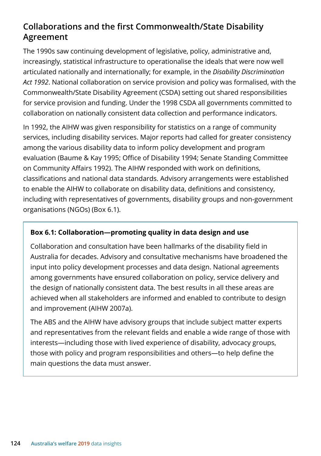## **Collaborations and the first Commonwealth/State Disability Agreement**

The 1990s saw continuing development of legislative, policy, administrative and, increasingly, statistical infrastructure to operationalise the ideals that were now well articulated nationally and internationally; for example, in the *Disability Discrimination Act 1992*. National collaboration on service provision and policy was formalised, with the Commonwealth/State Disability Agreement (CSDA) setting out shared responsibilities for service provision and funding. Under the 1998 CSDA all governments committed to collaboration on nationally consistent data collection and performance indicators.

In 1992, the AIHW was given responsibility for statistics on a range of community services, including disability services. Major reports had called for greater consistency among the various disability data to inform policy development and program evaluation (Baume & Kay 1995; Office of Disability 1994; Senate Standing Committee on Community Affairs 1992). The AIHW responded with work on definitions, classifications and national data standards. Advisory arrangements were established to enable the AIHW to collaborate on disability data, definitions and consistency, including with representatives of governments, disability groups and non-government organisations (NGOs) (Box 6.1).

#### **Box 6.1: Collaboration—promoting quality in data design and use**

Collaboration and consultation have been hallmarks of the disability field in Australia for decades. Advisory and consultative mechanisms have broadened the input into policy development processes and data design. National agreements among governments have ensured collaboration on policy, service delivery and the design of nationally consistent data. The best results in all these areas are achieved when all stakeholders are informed and enabled to contribute to design and improvement (AIHW 2007a).

The ABS and the AIHW have advisory groups that include subject matter experts and representatives from the relevant fields and enable a wide range of those with interests—including those with lived experience of disability, advocacy groups, those with policy and program responsibilities and others—to help define the main questions the data must answer.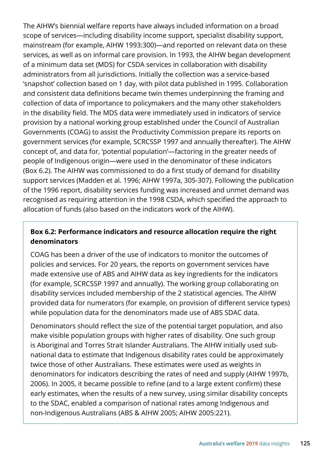The AIHW's biennial welfare reports have always included information on a broad scope of services—including disability income support, specialist disability support, mainstream (for example, AIHW 1993:300)—and reported on relevant data on these services, as well as on informal care provision. In 1993, the AIHW began development of a minimum data set (MDS) for CSDA services in collaboration with disability administrators from all jurisdictions. Initially the collection was a service-based 'snapshot' collection based on 1 day, with pilot data published in 1995. Collaboration and consistent data definitions became twin themes underpinning the framing and collection of data of importance to policymakers and the many other stakeholders in the disability field. The MDS data were immediately used in indicators of service provision by a national working group established under the Council of Australian Governments (COAG) to assist the Productivity Commission prepare its reports on government services (for example, SCRCSSP 1997 and annually thereafter). The AIHW concept of, and data for, 'potential population'—factoring in the greater needs of people of Indigenous origin—were used in the denominator of these indicators (Box 6.2). The AIHW was commissioned to do a first study of demand for disability support services (Madden et al. 1996; AIHW 1997a, 305-307). Following the publication of the 1996 report, disability services funding was increased and unmet demand was recognised as requiring attention in the 1998 CSDA, which specified the approach to allocation of funds (also based on the indicators work of the AIHW).

#### **Box 6.2: Performance indicators and resource allocation require the right denominators**

COAG has been a driver of the use of indicators to monitor the outcomes of policies and services. For 20 years, the reports on government services have made extensive use of ABS and AIHW data as key ingredients for the indicators (for example, SCRCSSP 1997 and annually). The working group collaborating on disability services included membership of the 2 statistical agencies. The AIHW provided data for numerators (for example, on provision of different service types) while population data for the denominators made use of ABS SDAC data.

Denominators should reflect the size of the potential target population, and also make visible population groups with higher rates of disability. One such group is Aboriginal and Torres Strait Islander Australians. The AIHW initially used subnational data to estimate that Indigenous disability rates could be approximately twice those of other Australians. These estimates were used as weights in denominators for indicators describing the rates of need and supply (AIHW 1997b, 2006). In 2005, it became possible to refine (and to a large extent confirm) these early estimates, when the results of a new survey, using similar disability concepts to the SDAC, enabled a comparison of national rates among Indigenous and non-Indigenous Australians (ABS & AIHW 2005; AIHW 2005:221).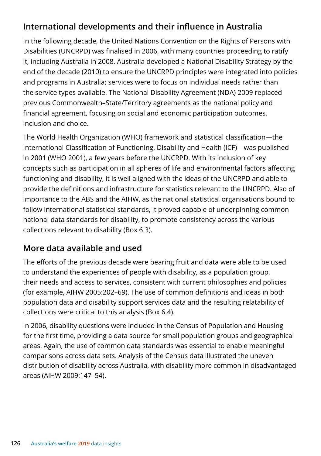## **International developments and their influence in Australia**

In the following decade, the United Nations Convention on the Rights of Persons with Disabilities (UNCRPD) was finalised in 2006, with many countries proceeding to ratify it, including Australia in 2008. Australia developed a National Disability Strategy by the end of the decade (2010) to ensure the UNCRPD principles were integrated into policies and programs in Australia; services were to focus on individual needs rather than the service types available. The National Disability Agreement (NDA) 2009 replaced previous Commonwealth–State/Territory agreements as the national policy and financial agreement, focusing on social and economic participation outcomes, inclusion and choice.

The World Health Organization (WHO) framework and statistical classification—the International Classification of Functioning, Disability and Health (ICF)—was published in 2001 (WHO 2001), a few years before the UNCRPD. With its inclusion of key concepts such as participation in all spheres of life and environmental factors affecting functioning and disability, it is well aligned with the ideas of the UNCRPD and able to provide the definitions and infrastructure for statistics relevant to the UNCRPD. Also of importance to the ABS and the AIHW, as the national statistical organisations bound to follow international statistical standards, it proved capable of underpinning common national data standards for disability, to promote consistency across the various collections relevant to disability (Box 6.3).

## **More data available and used**

The efforts of the previous decade were bearing fruit and data were able to be used to understand the experiences of people with disability, as a population group, their needs and access to services, consistent with current philosophies and policies (for example, AIHW 2005:202–69). The use of common definitions and ideas in both population data and disability support services data and the resulting relatability of collections were critical to this analysis (Box 6.4).

In 2006, disability questions were included in the Census of Population and Housing for the first time, providing a data source for small population groups and geographical areas. Again, the use of common data standards was essential to enable meaningful comparisons across data sets. Analysis of the Census data illustrated the uneven distribution of disability across Australia, with disability more common in disadvantaged areas (AIHW 2009:147–54).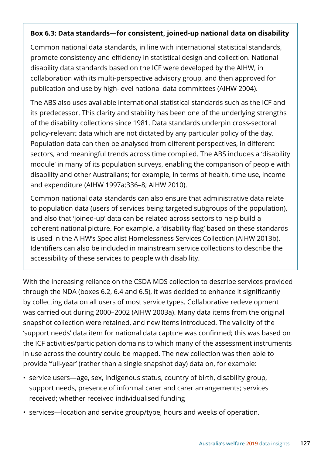#### **Box 6.3: Data standards—for consistent, joined-up national data on disability**

Common national data standards, in line with international statistical standards, promote consistency and efficiency in statistical design and collection. National disability data standards based on the ICF were developed by the AIHW, in collaboration with its multi-perspective advisory group, and then approved for publication and use by high-level national data committees (AIHW 2004).

The ABS also uses available international statistical standards such as the ICF and its predecessor. This clarity and stability has been one of the underlying strengths of the disability collections since 1981. Data standards underpin cross-sectoral policy-relevant data which are not dictated by any particular policy of the day. Population data can then be analysed from different perspectives, in different sectors, and meaningful trends across time compiled. The ABS includes a 'disability module' in many of its population surveys, enabling the comparison of people with disability and other Australians; for example, in terms of health, time use, income and expenditure (AIHW 1997a:336–8; AIHW 2010).

Common national data standards can also ensure that administrative data relate to population data (users of services being targeted subgroups of the population), and also that 'joined-up' data can be related across sectors to help build a coherent national picture. For example, a 'disability flag' based on these standards is used in the AIHW's Specialist Homelessness Services Collection (AIHW 2013b). Identifiers can also be included in mainstream service collections to describe the accessibility of these services to people with disability.

With the increasing reliance on the CSDA MDS collection to describe services provided through the NDA (boxes 6.2, 6.4 and 6.5), it was decided to enhance it significantly by collecting data on all users of most service types. Collaborative redevelopment was carried out during 2000–2002 (AIHW 2003a). Many data items from the original snapshot collection were retained, and new items introduced. The validity of the 'support needs' data item for national data capture was confirmed; this was based on the ICF activities/participation domains to which many of the assessment instruments in use across the country could be mapped. The new collection was then able to provide 'full-year' (rather than a single snapshot day) data on, for example:

- service users—age, sex, Indigenous status, country of birth, disability group, support needs, presence of informal carer and carer arrangements; services received; whether received individualised funding
- services—location and service group/type, hours and weeks of operation.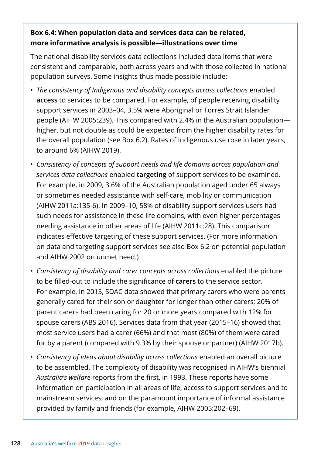#### **Box 6.4: When population data and services data can be related, more informative analysis is possible—illustrations over time**

The national disability services data collections included data items that were consistent and comparable, both across years and with those collected in national population surveys. Some insights thus made possible include:

- *The consistency of Indigenous and disability concepts across collections* enabled **access** to services to be compared. For example, of people receiving disability support services in 2003–04, 3.5% were Aboriginal or Torres Strait Islander people (AIHW 2005:239). This compared with 2.4% in the Australian population higher, but not double as could be expected from the higher disability rates for the overall population (see Box 6.2). Rates of Indigenous use rose in later years, to around 6% (AIHW 2019).
- *Consistency of concepts of support needs and life domains across population and services data collections* enabled **targeting** of support services to be examined. For example, in 2009, 3.6% of the Australian population aged under 65 always or sometimes needed assistance with self-care, mobility or communication (AIHW 2011a:135-6). In 2009–10, 58% of disability support services users had such needs for assistance in these life domains, with even higher percentages needing assistance in other areas of life (AIHW 2011c:28). This comparison indicates effective targeting of these support services. (For more information on data and targeting support services see also Box 6.2 on potential population and AIHW 2002 on unmet need.)
- *Consistency of disability and carer concepts across collections* enabled the picture to be filled-out to include the significance of **carers** to the service sector. For example, in 2015, SDAC data showed that primary carers who were parents generally cared for their son or daughter for longer than other carers; 20% of parent carers had been caring for 20 or more years compared with 12% for spouse carers (ABS 2016). Services data from that year (2015–16) showed that most service users had a carer (66%) and that most (80%) of them were cared for by a parent (compared with 9.3% by their spouse or partner) (AIHW 2017b).
- *Consistency of ideas about disability across collections* enabled an overall picture to be assembled. The complexity of disability was recognised in AIHW's biennial *Australia's welfare* reports from the first, in 1993. These reports have some information on participation in all areas of life, access to support services and to mainstream services, and on the paramount importance of informal assistance provided by family and friends (for example, AIHW 2005:202–69).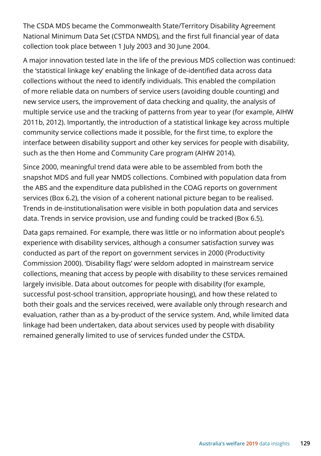The CSDA MDS became the Commonwealth State/Territory Disability Agreement National Minimum Data Set (CSTDA NMDS), and the first full financial year of data collection took place between 1 July 2003 and 30 June 2004.

A major innovation tested late in the life of the previous MDS collection was continued: the 'statistical linkage key' enabling the linkage of de-identified data across data collections without the need to identify individuals. This enabled the compilation of more reliable data on numbers of service users (avoiding double counting) and new service users, the improvement of data checking and quality, the analysis of multiple service use and the tracking of patterns from year to year (for example, AIHW 2011b, 2012). Importantly, the introduction of a statistical linkage key across multiple community service collections made it possible, for the first time, to explore the interface between disability support and other key services for people with disability, such as the then Home and Community Care program (AIHW 2014).

Since 2000, meaningful trend data were able to be assembled from both the snapshot MDS and full year NMDS collections. Combined with population data from the ABS and the expenditure data published in the COAG reports on government services (Box 6.2), the vision of a coherent national picture began to be realised. Trends in de-institutionalisation were visible in both population data and services data. Trends in service provision, use and funding could be tracked (Box 6.5).

Data gaps remained. For example, there was little or no information about people's experience with disability services, although a consumer satisfaction survey was conducted as part of the report on government services in 2000 (Productivity Commission 2000). 'Disability flags' were seldom adopted in mainstream service collections, meaning that access by people with disability to these services remained largely invisible. Data about outcomes for people with disability (for example, successful post-school transition, appropriate housing), and how these related to both their goals and the services received, were available only through research and evaluation, rather than as a by-product of the service system. And, while limited data linkage had been undertaken, data about services used by people with disability remained generally limited to use of services funded under the CSTDA.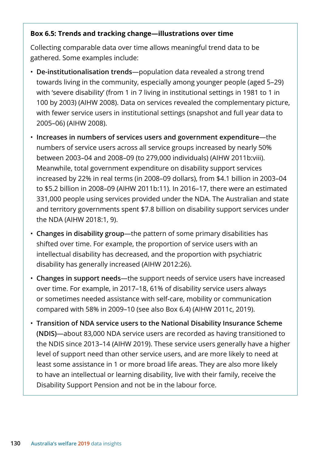#### **Box 6.5: Trends and tracking change—illustrations over time**

Collecting comparable data over time allows meaningful trend data to be gathered. Some examples include:

- **De-institutionalisation trends**—population data revealed a strong trend towards living in the community, especially among younger people (aged 5–29) with 'severe disability' (from 1 in 7 living in institutional settings in 1981 to 1 in 100 by 2003) (AIHW 2008). Data on services revealed the complementary picture, with fewer service users in institutional settings (snapshot and full year data to 2005–06) (AIHW 2008).
- **Increases in numbers of services users and government expenditure**—the numbers of service users across all service groups increased by nearly 50% between 2003–04 and 2008–09 (to 279,000 individuals) (AIHW 2011b:viii). Meanwhile, total government expenditure on disability support services increased by 22% in real terms (in 2008–09 dollars), from \$4.1 billion in 2003–04 to \$5.2 billion in 2008–09 (AIHW 2011b:11). In 2016–17, there were an estimated 331,000 people using services provided under the NDA. The Australian and state and territory governments spent \$7.8 billion on disability support services under the NDA (AIHW 2018:1, 9).
- **Changes in disability group**—the pattern of some primary disabilities has shifted over time. For example, the proportion of service users with an intellectual disability has decreased, and the proportion with psychiatric disability has generally increased (AIHW 2012:26).
- **Changes in support needs**—the support needs of service users have increased over time. For example, in 2017–18, 61% of disability service users always or sometimes needed assistance with self-care, mobility or communication compared with 58% in 2009–10 (see also Box 6.4) (AIHW 2011c, 2019).
- **Transition of NDA service users to the National Disability Insurance Scheme (NDIS)**—about 83,000 NDA service users are recorded as having transitioned to the NDIS since 2013–14 (AIHW 2019). These service users generally have a higher level of support need than other service users, and are more likely to need at least some assistance in 1 or more broad life areas. They are also more likely to have an intellectual or learning disability, live with their family, receive the Disability Support Pension and not be in the labour force.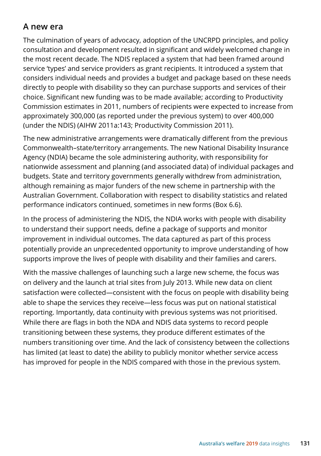## **A new era**

The culmination of years of advocacy, adoption of the UNCRPD principles, and policy consultation and development resulted in significant and widely welcomed change in the most recent decade. The NDIS replaced a system that had been framed around service 'types' and service providers as grant recipients. It introduced a system that considers individual needs and provides a budget and package based on these needs directly to people with disability so they can purchase supports and services of their choice. Significant new funding was to be made available; according to Productivity Commission estimates in 2011, numbers of recipients were expected to increase from approximately 300,000 (as reported under the previous system) to over 400,000 (under the NDIS) (AIHW 2011a:143; Productivity Commission 2011).

The new administrative arrangements were dramatically different from the previous Commonwealth–state/territory arrangements. The new National Disability Insurance Agency (NDIA) became the sole administering authority, with responsibility for nationwide assessment and planning (and associated data) of individual packages and budgets. State and territory governments generally withdrew from administration, although remaining as major funders of the new scheme in partnership with the Australian Government. Collaboration with respect to disability statistics and related performance indicators continued, sometimes in new forms (Box 6.6).

In the process of administering the NDIS, the NDIA works with people with disability to understand their support needs, define a package of supports and monitor improvement in individual outcomes. The data captured as part of this process potentially provide an unprecedented opportunity to improve understanding of how supports improve the lives of people with disability and their families and carers.

With the massive challenges of launching such a large new scheme, the focus was on delivery and the launch at trial sites from July 2013. While new data on client satisfaction were collected—consistent with the focus on people with disability being able to shape the services they receive—less focus was put on national statistical reporting. Importantly, data continuity with previous systems was not prioritised. While there are flags in both the NDA and NDIS data systems to record people transitioning between these systems, they produce different estimates of the numbers transitioning over time. And the lack of consistency between the collections has limited (at least to date) the ability to publicly monitor whether service access has improved for people in the NDIS compared with those in the previous system.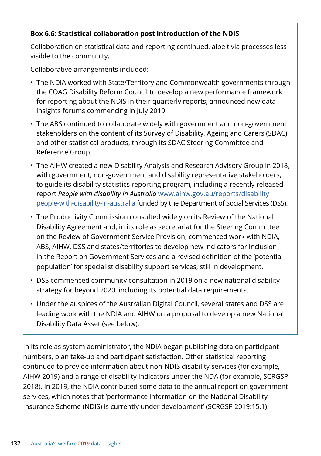#### **Box 6.6: Statistical collaboration post introduction of the NDIS**

Collaboration on statistical data and reporting continued, albeit via processes less visible to the community.

Collaborative arrangements included:

- The NDIA worked with State/Territory and Commonwealth governments through the COAG Disability Reform Council to develop a new performance framework for reporting about the NDIS in their quarterly reports; announced new data insights forums commencing in July 2019.
- The ABS continued to collaborate widely with government and non-government stakeholders on the content of its Survey of Disability, Ageing and Carers (SDAC) and other statistical products, through its SDAC Steering Committee and Reference Group.
- The AIHW created a new Disability Analysis and Research Advisory Group in 2018, with government, non-government and disability representative stakeholders, to guide its disability statistics reporting program, including a recently released report *People with disability in Australia* [www.aihw.gov.au/reports/disability](https://www.aihw.gov.au/reports/disability/people-with-disability-in-australia/summary) [people-with-disability-in-australia](https://www.aihw.gov.au/reports/disability/people-with-disability-in-australia/summary) funded by the Department of Social Services (DSS).
- The Productivity Commission consulted widely on its Review of the National Disability Agreement and, in its role as secretariat for the Steering Committee on the Review of Government Service Provision, commenced work with NDIA, ABS, AIHW, DSS and states/territories to develop new indicators for inclusion in the Report on Government Services and a revised definition of the 'potential population' for specialist disability support services, still in development.
- DSS commenced community consultation in 2019 on a new national disability strategy for beyond 2020, including its potential data requirements.
- Under the auspices of the Australian Digital Council, several states and DSS are leading work with the NDIA and AIHW on a proposal to develop a new National Disability Data Asset (see below).

In its role as system administrator, the NDIA began publishing data on participant numbers, plan take-up and participant satisfaction. Other statistical reporting continued to provide information about non-NDIS disability services (for example, AIHW 2019) and a range of disability indicators under the NDA (for example, SCRGSP 2018). In 2019, the NDIA contributed some data to the annual report on government services, which notes that 'performance information on the National Disability Insurance Scheme (NDIS) is currently under development' (SCRGSP 2019:15.1).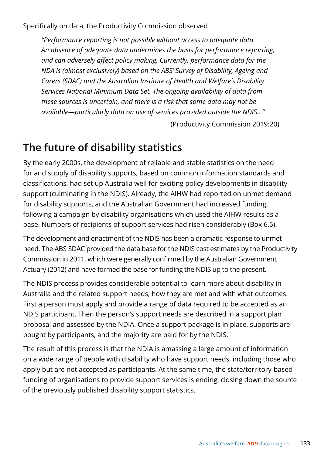Specifically on data, the Productivity Commission observed

*"Performance reporting is not possible without access to adequate data. An absence of adequate data undermines the basis for performance reporting, and can adversely affect policy making. Currently, performance data for the NDA is (almost exclusively) based on the ABS' Survey of Disability, Ageing and Carers (SDAC) and the Australian Institute of Health and Welfare's Disability Services National Minimum Data Set. The ongoing availability of data from these sources is uncertain, and there is a risk that some data may not be available—particularly data on use of services provided outside the NDIS…"*

(Productivity Commission 2019:20)

## **The future of disability statistics**

By the early 2000s, the development of reliable and stable statistics on the need for and supply of disability supports, based on common information standards and classifications, had set up Australia well for exciting policy developments in disability support (culminating in the NDIS). Already, the AIHW had reported on unmet demand for disability supports, and the Australian Government had increased funding, following a campaign by disability organisations which used the AIHW results as a base. Numbers of recipients of support services had risen considerably (Box 6.5).

The development and enactment of the NDIS has been a dramatic response to unmet need. The ABS SDAC provided the data base for the NDIS cost estimates by the Productivity Commission in 2011, which were generally confirmed by the Australian Government Actuary (2012) and have formed the base for funding the NDIS up to the present.

The NDIS process provides considerable potential to learn more about disability in Australia and the related support needs, how they are met and with what outcomes. First a person must apply and provide a range of data required to be accepted as an NDIS participant. Then the person's support needs are described in a support plan proposal and assessed by the NDIA. Once a support package is in place, supports are bought by participants, and the majority are paid for by the NDIS.

The result of this process is that the NDIA is amassing a large amount of information on a wide range of people with disability who have support needs, including those who apply but are not accepted as participants. At the same time, the state/territory-based funding of organisations to provide support services is ending, closing down the source of the previously published disability support statistics.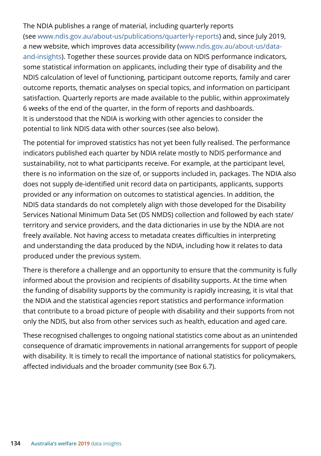The NDIA publishes a range of material, including quarterly reports (see www.ndis.gov.au/about-us/publications/quarterly-reports) and, since July 2019, a new website, which improves data accessibility (www.ndis.gov.au/about-us/dataand-insights). Together these sources provide data on NDIS performance indicators, some statistical information on applicants, including their type of disability and the NDIS calculation of level of functioning, participant outcome reports, family and carer outcome reports, thematic analyses on special topics, and information on participant satisfaction. Quarterly reports are made available to the public, within approximately 6 weeks of the end of the quarter, in the form of reports and dashboards. It is understood that the NDIA is working with other agencies to consider the potential to link NDIS data with other sources (see also below).

The potential for improved statistics has not yet been fully realised. The performance indicators published each quarter by NDIA relate mostly to NDIS performance and sustainability, not to what participants receive. For example, at the participant level, there is no information on the size of, or supports included in, packages. The NDIA also does not supply de-identified unit record data on participants, applicants, supports provided or any information on outcomes to statistical agencies. In addition, the NDIS data standards do not completely align with those developed for the Disability Services National Minimum Data Set (DS NMDS) collection and followed by each state/ territory and service providers, and the data dictionaries in use by the NDIA are not freely available. Not having access to metadata creates difficulties in interpreting and understanding the data produced by the NDIA, including how it relates to data produced under the previous system.

There is therefore a challenge and an opportunity to ensure that the community is fully informed about the provision and recipients of disability supports. At the time when the funding of disability supports by the community is rapidly increasing, it is vital that the NDIA and the statistical agencies report statistics and performance information that contribute to a broad picture of people with disability and their supports from not only the NDIS, but also from other services such as health, education and aged care.

These recognised challenges to ongoing national statistics come about as an unintended consequence of dramatic improvements in national arrangements for support of people with disability. It is timely to recall the importance of national statistics for policymakers, affected individuals and the broader community (see Box 6.7).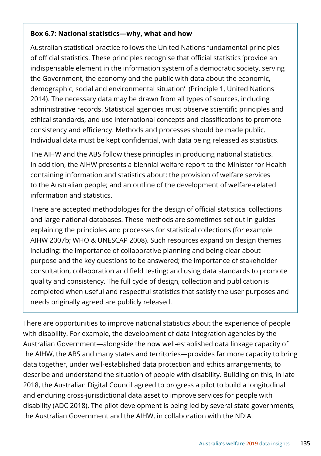#### **Box 6.7: National statistics—why, what and how**

Australian statistical practice follows the United Nations fundamental principles of official statistics. These principles recognise that official statistics 'provide an indispensable element in the information system of a democratic society, serving the Government, the economy and the public with data about the economic, demographic, social and environmental situation' (Principle 1, United Nations 2014). The necessary data may be drawn from all types of sources, including administrative records. Statistical agencies must observe scientific principles and ethical standards, and use international concepts and classifications to promote consistency and efficiency. Methods and processes should be made public. Individual data must be kept confidential, with data being released as statistics.

The AIHW and the ABS follow these principles in producing national statistics. In addition, the AIHW presents a biennial welfare report to the Minister for Health containing information and statistics about: the provision of welfare services to the Australian people; and an outline of the development of welfare-related information and statistics.

There are accepted methodologies for the design of official statistical collections and large national databases. These methods are sometimes set out in guides explaining the principles and processes for statistical collections (for example AIHW 2007b; WHO & UNESCAP 2008). Such resources expand on design themes including: the importance of collaborative planning and being clear about purpose and the key questions to be answered; the importance of stakeholder consultation, collaboration and field testing; and using data standards to promote quality and consistency. The full cycle of design, collection and publication is completed when useful and respectful statistics that satisfy the user purposes and needs originally agreed are publicly released.

There are opportunities to improve national statistics about the experience of people with disability. For example, the development of data integration agencies by the Australian Government—alongside the now well-established data linkage capacity of the AIHW, the ABS and many states and territories—provides far more capacity to bring data together, under well-established data protection and ethics arrangements, to describe and understand the situation of people with disability. Building on this, in late 2018, the Australian Digital Council agreed to progress a pilot to build a longitudinal and enduring cross-jurisdictional data asset to improve services for people with disability (ADC 2018). The pilot development is being led by several state governments, the Australian Government and the AIHW, in collaboration with the NDIA.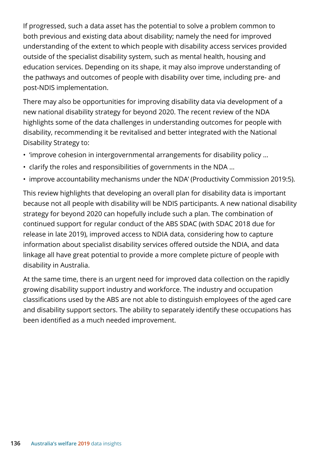If progressed, such a data asset has the potential to solve a problem common to both previous and existing data about disability; namely the need for improved understanding of the extent to which people with disability access services provided outside of the specialist disability system, such as mental health, housing and education services. Depending on its shape, it may also improve understanding of the pathways and outcomes of people with disability over time, including pre- and post-NDIS implementation.

There may also be opportunities for improving disability data via development of a new national disability strategy for beyond 2020. The recent review of the NDA highlights some of the data challenges in understanding outcomes for people with disability, recommending it be revitalised and better integrated with the National Disability Strategy to:

- 'improve cohesion in intergovernmental arrangements for disability policy …
- clarify the roles and responsibilities of governments in the NDA …
- improve accountability mechanisms under the NDA' (Productivity Commission 2019:5).

This review highlights that developing an overall plan for disability data is important because not all people with disability will be NDIS participants. A new national disability strategy for beyond 2020 can hopefully include such a plan. The combination of continued support for regular conduct of the ABS SDAC (with SDAC 2018 due for release in late 2019), improved access to NDIA data, considering how to capture information about specialist disability services offered outside the NDIA, and data linkage all have great potential to provide a more complete picture of people with disability in Australia.

At the same time, there is an urgent need for improved data collection on the rapidly growing disability support industry and workforce. The industry and occupation classifications used by the ABS are not able to distinguish employees of the aged care and disability support sectors. The ability to separately identify these occupations has been identified as a much needed improvement.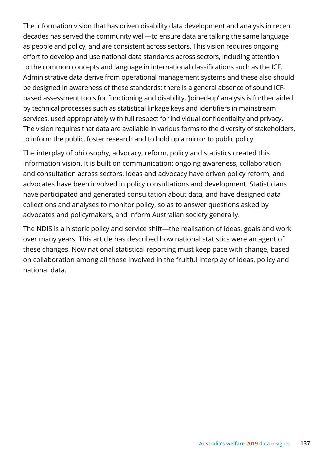The information vision that has driven disability data development and analysis in recent decades has served the community well—to ensure data are talking the same language as people and policy, and are consistent across sectors. This vision requires ongoing effort to develop and use national data standards across sectors, including attention to the common concepts and language in international classifications such as the ICF. Administrative data derive from operational management systems and these also should be designed in awareness of these standards; there is a general absence of sound ICFbased assessment tools for functioning and disability. 'Joined-up' analysis is further aided by technical processes such as statistical linkage keys and identifiers in mainstream services, used appropriately with full respect for individual confidentiality and privacy. The vision requires that data are available in various forms to the diversity of stakeholders, to inform the public, foster research and to hold up a mirror to public policy.

The interplay of philosophy, advocacy, reform, policy and statistics created this information vision. It is built on communication: ongoing awareness, collaboration and consultation across sectors. Ideas and advocacy have driven policy reform, and advocates have been involved in policy consultations and development. Statisticians have participated and generated consultation about data, and have designed data collections and analyses to monitor policy, so as to answer questions asked by advocates and policymakers, and inform Australian society generally.

The NDIS is a historic policy and service shift—the realisation of ideas, goals and work over many years. This article has described how national statistics were an agent of these changes. Now national statistical reporting must keep pace with change, based on collaboration among all those involved in the fruitful interplay of ideas, policy and national data.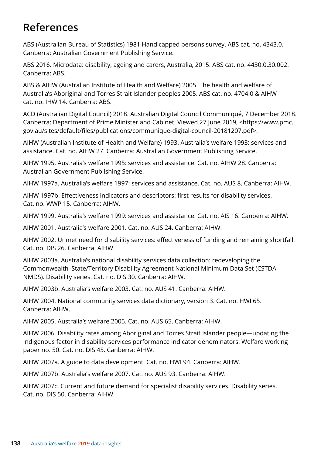# **References**

ABS (Australian Bureau of Statistics) 1981 Handicapped persons survey. ABS cat. no. 4343.0. Canberra: Australian Government Publishing Service.

ABS 2016. Microdata: disability, ageing and carers, Australia, 2015. ABS cat. no. 4430.0.30.002. Canberra: ABS.

ABS & AIHW (Australian Institute of Health and Welfare) 2005. The health and welfare of Australia's Aboriginal and Torres Strait Islander peoples 2005. ABS cat. no. 4704.0 & AIHW cat. no. IHW 14. Canberra: ABS.

ACD (Australian Digital Council) 2018. Australian Digital Council Communiqué, 7 December 2018. Canberra: Department of Prime Minister and Cabinet. Viewed 27 June 2019, <https://www.pmc. gov.au/sites/default/files/publications/communique-digital-council-20181207.pdf>.

AIHW (Australian Institute of Health and Welfare) 1993. Australia's welfare 1993: services and assistance. Cat. no. AIHW 27. Canberra: Australian Government Publishing Service.

AIHW 1995. Australia's welfare 1995: services and assistance. Cat. no. AIHW 28. Canberra: Australian Government Publishing Service.

AIHW 1997a. Australia's welfare 1997: services and assistance. Cat. no. AUS 8. Canberra: AIHW.

AIHW 1997b. Effectiveness indicators and descriptors: first results for disability services. Cat. no. WWP 15. Canberra: AIHW.

AIHW 1999. Australia's welfare 1999: services and assistance. Cat. no. AIS 16. Canberra: AIHW.

AIHW 2001. Australia's welfare 2001. Cat. no. AUS 24. Canberra: AIHW.

AIHW 2002. Unmet need for disability services: effectiveness of funding and remaining shortfall. Cat. no. DIS 26. Canberra: AIHW.

AIHW 2003a. Australia's national disability services data collection: redeveloping the Commonwealth–State/Territory Disability Agreement National Minimum Data Set (CSTDA NMDS). Disability series. Cat. no. DIS 30. Canberra: AIHW.

AIHW 2003b. Australia's welfare 2003. Cat. no. AUS 41. Canberra: AIHW.

AIHW 2004. National community services data dictionary, version 3. Cat. no. HWI 65. Canberra: AIHW.

AIHW 2005. Australia's welfare 2005. Cat. no. AUS 65. Canberra: AIHW.

AIHW 2006. Disability rates among Aboriginal and Torres Strait Islander people—updating the Indigenous factor in disability services performance indicator denominators. Welfare working paper no. 50. Cat. no. DIS 45. Canberra: AIHW.

AIHW 2007a. A guide to data development. Cat. no. HWI 94. Canberra: AIHW.

AIHW 2007b. Australia's welfare 2007. Cat. no. AUS 93. Canberra: AIHW.

AIHW 2007c. Current and future demand for specialist disability services. Disability series. Cat. no. DIS 50. Canberra: AIHW.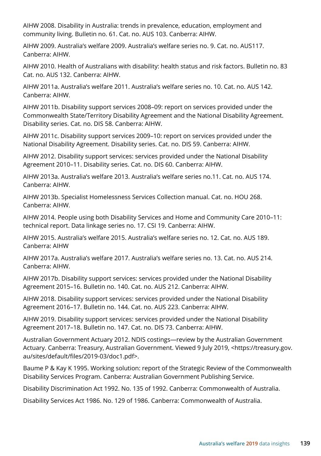AIHW 2008. Disability in Australia: trends in prevalence, education, employment and community living. Bulletin no. 61. Cat. no. AUS 103. Canberra: AIHW.

AIHW 2009. Australia's welfare 2009. Australia's welfare series no. 9. Cat. no. AUS117. Canberra: AIHW.

AIHW 2010. Health of Australians with disability: health status and risk factors. Bulletin no. 83 Cat. no. AUS 132. Canberra: AIHW.

AIHW 2011a. Australia's welfare 2011. Australia's welfare series no. 10. Cat. no. AUS 142. Canberra: AIHW.

AIHW 2011b. Disability support services 2008–09: report on services provided under the Commonwealth State/Territory Disability Agreement and the National Disability Agreement. Disability series. Cat. no. DIS 58. Canberra: AIHW.

AIHW 2011c. Disability support services 2009–10: report on services provided under the National Disability Agreement. Disability series. Cat. no. DIS 59. Canberra: AIHW.

AIHW 2012. Disability support services: services provided under the National Disability Agreement 2010–11. Disability series. Cat. no. DIS 60. Canberra: AIHW.

AIHW 2013a. Australia's welfare 2013. Australia's welfare series no.11. Cat. no. AUS 174. Canberra: AIHW.

AIHW 2013b. Specialist Homelessness Services Collection manual. Cat. no. HOU 268. Canberra: AIHW.

AIHW 2014. People using both Disability Services and Home and Community Care 2010–11: technical report. Data linkage series no. 17. CSI 19. Canberra: AIHW.

AIHW 2015. Australia's welfare 2015. Australia's welfare series no. 12. Cat. no. AUS 189. Canberra: AIHW

AIHW 2017a. Australia's welfare 2017. Australia's welfare series no. 13. Cat. no. AUS 214. Canberra: AIHW.

AIHW 2017b. Disability support services: services provided under the National Disability Agreement 2015–16. Bulletin no. 140. Cat. no. AUS 212. Canberra: AIHW.

AIHW 2018. Disability support services: services provided under the National Disability Agreement 2016–17. Bulletin no. 144. Cat. no. AUS 223. Canberra: AIHW.

AIHW 2019. Disability support services: services provided under the National Disability Agreement 2017–18. Bulletin no. 147. Cat. no. DIS 73. Canberra: AIHW.

Australian Government Actuary 2012. NDIS costings—review by the Australian Government Actuary. Canberra: Treasury, Australian Government. Viewed 9 July 2019, <https://treasury.gov. au/sites/default/files/2019-03/doc1.pdf>.

Baume P & Kay K 1995. Working solution: report of the Strategic Review of the Commonwealth Disability Services Program. Canberra: Australian Government Publishing Service.

Disability Discrimination Act 1992. No. 135 of 1992. Canberra: Commonwealth of Australia.

Disability Services Act 1986. No. 129 of 1986. Canberra: Commonwealth of Australia.